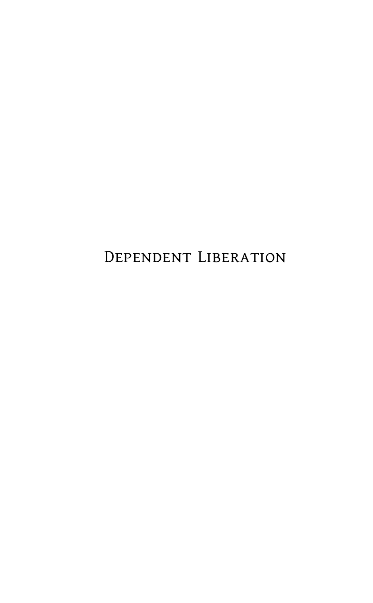Dependent Liberation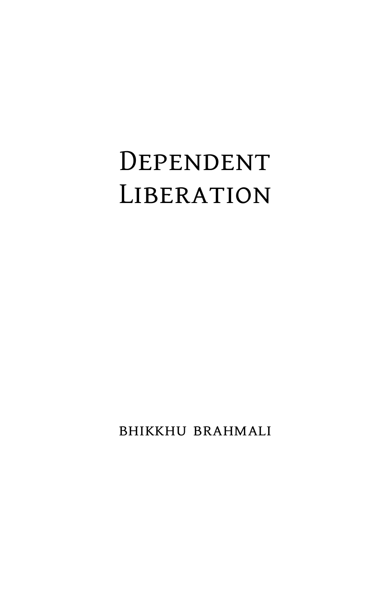## Dependent **LIBERATION**

bhikkhu brahmali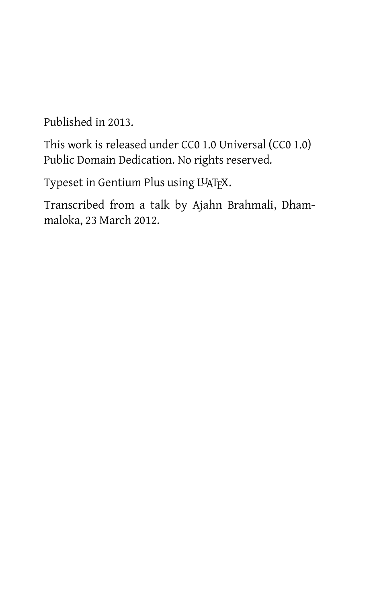Published in 2013.

This work is released under CC0 1.0 Universal (CC0 1.0) Public Domain Dedication. No rights reserved.

Typeset in Gentium Plus using LUATEX.

Transcribed from a talk by Ajahn Brahmali, Dhammaloka, 23 March 2012.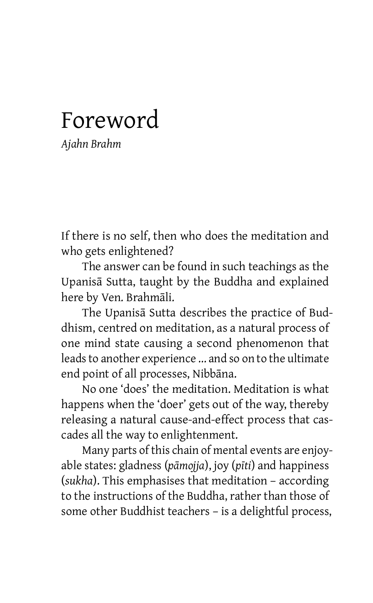## Foreword

*Ajahn Brahm*

If there is no self, then who does the meditation and who gets enlightened?

The answer can be found in such teachings as the Upanisā Sutta, taught by the Buddha and explained here by Ven. Brahmāli.

The Upanisā Sutta describes the practice of Buddhism, centred on meditation, as a natural process of one mind state causing a second phenomenon that leads to another experience ... and so on to the ultimate end point of all processes, Nibbāna.

No one 'does' the meditation. Meditation is what happens when the 'doer' gets out of the way, thereby releasing a natural cause-and-effect process that cascades all the way to enlightenment.

Many parts of this chain of mental events are enjoyable states: gladness (*pāmojja*), joy (*pīti*) and happiness (*sukha*). This emphasises that meditation – according to the instructions of the Buddha, rather than those of some other Buddhist teachers – is a delightful process,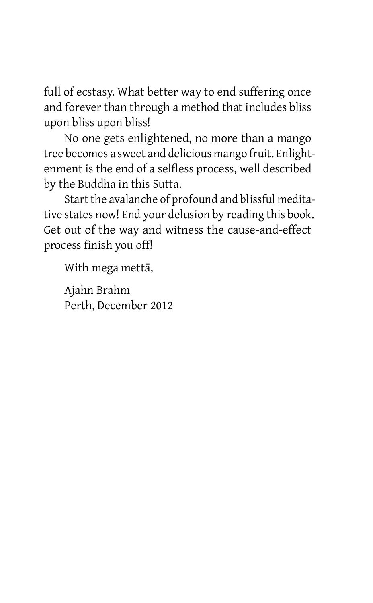full of ecstasy. What better way to end suffering once and forever than through a method that includes bliss upon bliss upon bliss!

No one gets enlightened, no more than a mango tree becomes a sweet and delicious mango fruit. Enlightenment is the end of a selfless process, well described by the Buddha in this Sutta.

Start the avalanche of profound and blissful meditative states now! End your delusion by reading this book. Get out of the way and witness the cause-and-effect process finish you off!

With mega mettā,

Ajahn Brahm Perth, December 2012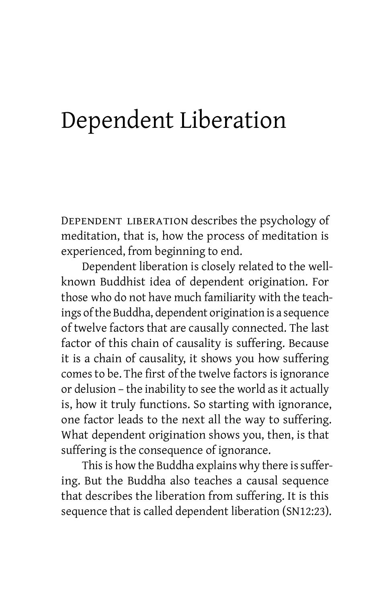## Dependent Liberation

Dependent liberation describes the psychology of meditation, that is, how the process of meditation is experienced, from beginning to end.

Dependent liberation is closely related to the wellknown Buddhist idea of dependent origination. For those who do not have much familiarity with the teachings of the Buddha, dependent origination is a sequence of twelve factors that are causally connected. The last factor of this chain of causality is suffering. Because it is a chain of causality, it shows you how suffering comes to be. The first of the twelve factors is ignorance or delusion – the inability to see the world as it actually is, how it truly functions. So starting with ignorance, one factor leads to the next all the way to suffering. What dependent origination shows you, then, is that suffering is the consequence of ignorance.

This is how the Buddha explains why there is suffering. But the Buddha also teaches a causal sequence that describes the liberation from suffering. It is this sequence that is called dependent liberation (SN12:23).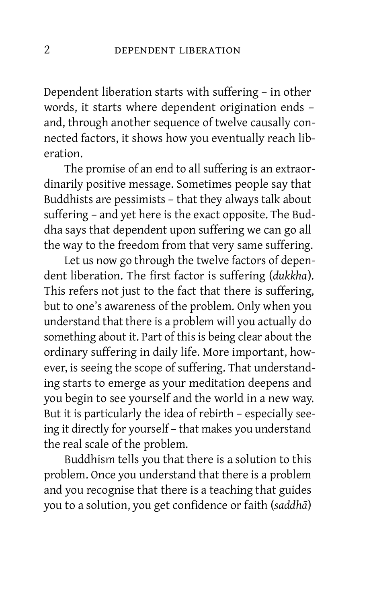Dependent liberation starts with suffering – in other words, it starts where dependent origination ends – and, through another sequence of twelve causally connected factors, it shows how you eventually reach liberation.

The promise of an end to all suffering is an extraordinarily positive message. Sometimes people say that Buddhists are pessimists – that they always talk about suffering – and yet here is the exact opposite. The Buddha says that dependent upon suffering we can go all the way to the freedom from that very same suffering.

Let us now go through the twelve factors of dependent liberation. The first factor is suffering (*dukkha*). This refers not just to the fact that there is suffering, but to one's awareness of the problem. Only when you understand that there is a problem will you actually do something about it. Part of this is being clear about the ordinary suffering in daily life. More important, however, is seeing the scope of suffering. That understanding starts to emerge as your meditation deepens and you begin to see yourself and the world in a new way. But it is particularly the idea of rebirth – especially seeing it directly for yourself – that makes you understand the real scale of the problem.

Buddhism tells you that there is a solution to this problem. Once you understand that there is a problem and you recognise that there is a teaching that guides you to a solution, you get confidence or faith (*saddhā*)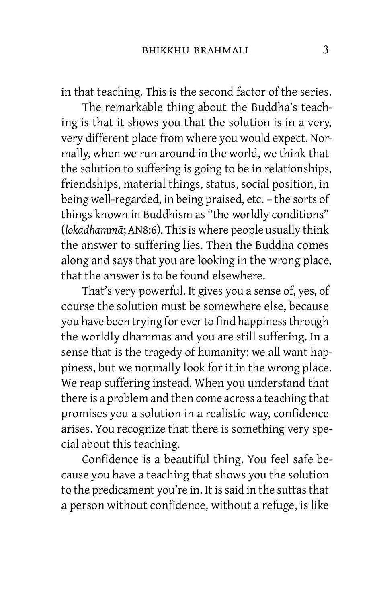in that teaching. This is the second factor of the series.

The remarkable thing about the Buddha's teaching is that it shows you that the solution is in a very, very different place from where you would expect. Normally, when we run around in the world, we think that the solution to suffering is going to be in relationships, friendships, material things, status, social position, in being well-regarded, in being praised, etc. – the sorts of things known in Buddhism as "the worldly conditions" (*lokadhammā*; AN8:6). Thisis where people usually think the answer to suffering lies. Then the Buddha comes along and says that you are looking in the wrong place, that the answer is to be found elsewhere.

That's very powerful. It gives you a sense of, yes, of course the solution must be somewhere else, because you have been trying for ever to find happiness through the worldly dhammas and you are still suffering. In a sense that is the tragedy of humanity: we all want happiness, but we normally look for it in the wrong place. We reap suffering instead. When you understand that there is a problem and then come across a teaching that promises you a solution in a realistic way, confidence arises. You recognize that there is something very special about this teaching.

Confidence is a beautiful thing. You feel safe because you have a teaching that shows you the solution to the predicament you're in. It is said in the suttas that a person without confidence, without a refuge, is like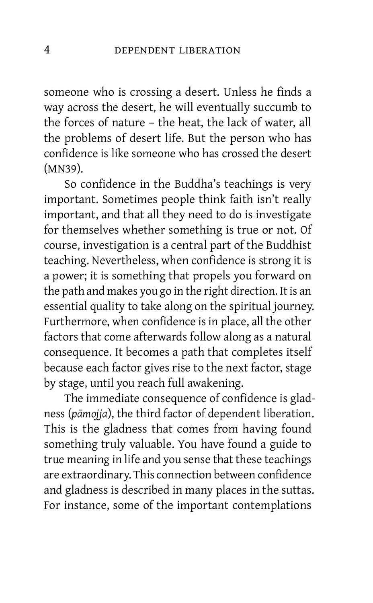someone who is crossing a desert. Unless he finds a way across the desert, he will eventually succumb to the forces of nature – the heat, the lack of water, all the problems of desert life. But the person who has confidence is like someone who has crossed the desert (MN39).

So confidence in the Buddha's teachings is very important. Sometimes people think faith isn't really important, and that all they need to do is investigate for themselves whether something is true or not. Of course, investigation is a central part of the Buddhist teaching. Nevertheless, when confidence is strong it is a power; it is something that propels you forward on the path and makes you go in the right direction. It is an essential quality to take along on the spiritual journey. Furthermore, when confidence is in place, all the other factors that come afterwards follow along as a natural consequence. It becomes a path that completes itself because each factor gives rise to the next factor, stage by stage, until you reach full awakening.

The immediate consequence of confidence is gladness (*pāmojja*), the third factor of dependent liberation. This is the gladness that comes from having found something truly valuable. You have found a guide to true meaning in life and you sense that these teachings are extraordinary. This connection between confidence and gladness is described in many places in the suttas. For instance, some of the important contemplations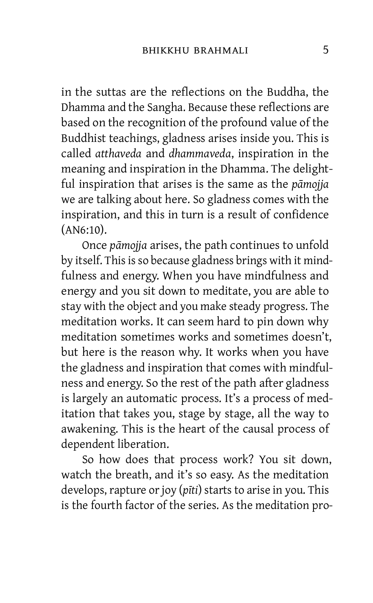in the suttas are the reflections on the Buddha, the Dhamma and the Sangha. Because these reflections are based on the recognition of the profound value of the Buddhist teachings, gladness arises inside you. This is called *atthaveda* and *dhammaveda*, inspiration in the meaning and inspiration in the Dhamma. The delightful inspiration that arises is the same as the *pāmojja* we are talking about here. So gladness comes with the inspiration, and this in turn is a result of confidence (AN6:10).

Once *pāmojja* arises, the path continues to unfold by itself. This is so because gladness brings with it mindfulness and energy. When you have mindfulness and energy and you sit down to meditate, you are able to stay with the object and you make steady progress. The meditation works. It can seem hard to pin down why meditation sometimes works and sometimes doesn't, but here is the reason why. It works when you have the gladness and inspiration that comes with mindfulness and energy. So the rest of the path after gladness is largely an automatic process. It's a process of meditation that takes you, stage by stage, all the way to awakening. This is the heart of the causal process of dependent liberation.

So how does that process work? You sit down, watch the breath, and it's so easy. As the meditation develops, rapture or joy (*pīti*) starts to arise in you. This is the fourth factor of the series. As the meditation pro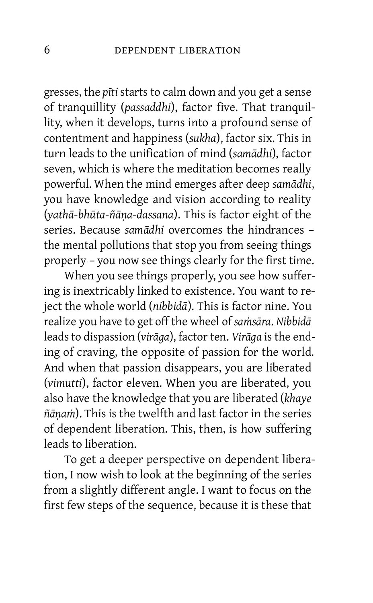gresses, the *pīti* starts to calm down and you get a sense of tranquillity (*passaddhi*), factor five. That tranquillity, when it develops, turns into a profound sense of contentment and happiness (*sukha*), factor six. This in turn leads to the unification of mind (*samādhi*), factor seven, which is where the meditation becomes really powerful. When the mind emerges after deep *samādhi*, you have knowledge and vision according to reality (*yathā-bhūta-ñāṇa-dassana*). This is factor eight of the series. Because *samādhi* overcomes the hindrances – the mental pollutions that stop you from seeing things properly – you now see things clearly for the first time.

When you see things properly, you see how suffering is inextricably linked to existence. You want to reject the whole world (*nibbidā*). This is factor nine. You realize you have to get off the wheel of *saṁsāra*. *Nibbidā* leads to dispassion (*virāga*), factor ten. *Virāga* is the ending of craving, the opposite of passion for the world. And when that passion disappears, you are liberated (*vimutti*), factor eleven. When you are liberated, you also have the knowledge that you are liberated (*khaye ñāṇaṁ*). This is the twelfth and last factor in the series of dependent liberation. This, then, is how suffering leads to liberation.

To get a deeper perspective on dependent liberation, I now wish to look at the beginning of the series from a slightly different angle. I want to focus on the first few steps of the sequence, because it is these that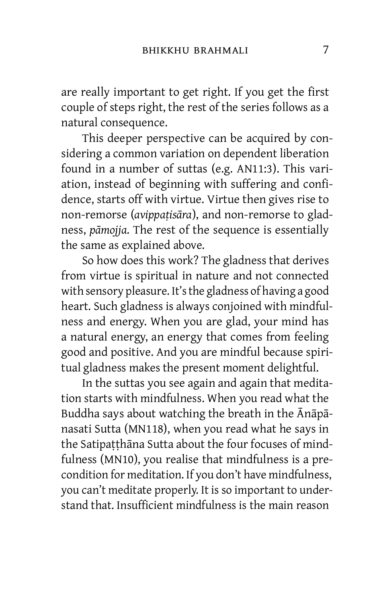are really important to get right. If you get the first couple of steps right, the rest of the series follows as a natural consequence.

This deeper perspective can be acquired by considering a common variation on dependent liberation found in a number of suttas (e.g. AN11:3). This variation, instead of beginning with suffering and confidence, starts off with virtue. Virtue then gives rise to non-remorse (*avippaṭisāra*), and non-remorse to gladness, *pāmojja*. The rest of the sequence is essentially the same as explained above.

So how does this work? The gladness that derives from virtue is spiritual in nature and not connected with sensory pleasure. It'sthe gladness of having a good heart. Such gladness is always conjoined with mindfulness and energy. When you are glad, your mind has a natural energy, an energy that comes from feeling good and positive. And you are mindful because spiritual gladness makes the present moment delightful.

In the suttas you see again and again that meditation starts with mindfulness. When you read what the Buddha says about watching the breath in the Ānāpānasati Sutta (MN118), when you read what he says in the Satipaṭṭhāna Sutta about the four focuses of mindfulness (MN10), you realise that mindfulness is a precondition for meditation. If you don't have mindfulness, you can't meditate properly. It is so important to understand that. Insufficient mindfulness is the main reason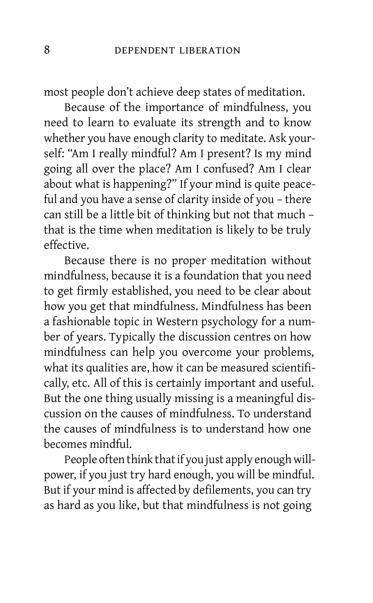most people don't achieve deep states of meditation.

Because of the importance of mindfulness, you need to learn to evaluate its strength and to know whether you have enough clarity to meditate. Ask yourself: "Am I really mindful? Am I present? Is my mind going all over the place? Am I confused? Am I clear about what is happening?" If your mind is quite peaceful and you have a sense of clarity inside of you – there can still be a little bit of thinking but not that much – that is the time when meditation is likely to be truly effective.

Because there is no proper meditation without mindfulness, because it is a foundation that you need to get firmly established, you need to be clear about how you get that mindfulness. Mindfulness has been a fashionable topic in Western psychology for a number of years. Typically the discussion centres on how mindfulness can help you overcome your problems, what its qualities are, how it can be measured scientifically, etc. All of this is certainly important and useful. But the one thing usually missing is a meaningful discussion on the causes of mindfulness. To understand the causes of mindfulness is to understand how one becomes mindful.

People often think that if you just apply enough willpower, if you just try hard enough, you will be mindful. But if your mind is affected by defilements, you can try as hard as you like, but that mindfulness is not going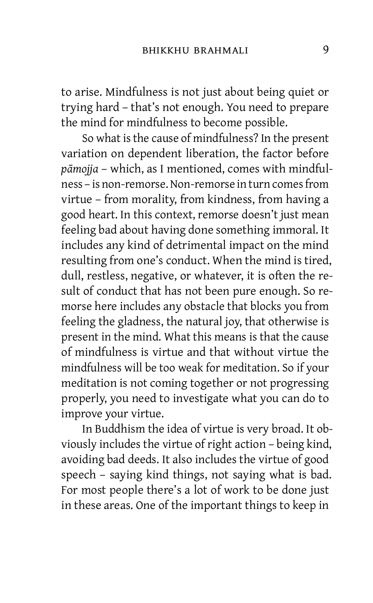to arise. Mindfulness is not just about being quiet or trying hard – that's not enough. You need to prepare the mind for mindfulness to become possible.

So what is the cause of mindfulness? In the present variation on dependent liberation, the factor before *pāmojja* – which, as I mentioned, comes with mindfulness – is non-remorse. Non-remorse in turn comes from virtue – from morality, from kindness, from having a good heart. In this context, remorse doesn't just mean feeling bad about having done something immoral. It includes any kind of detrimental impact on the mind resulting from one's conduct. When the mind is tired, dull, restless, negative, or whatever, it is often the result of conduct that has not been pure enough. So remorse here includes any obstacle that blocks you from feeling the gladness, the natural joy, that otherwise is present in the mind. What this means is that the cause of mindfulness is virtue and that without virtue the mindfulness will be too weak for meditation. So if your meditation is not coming together or not progressing properly, you need to investigate what you can do to improve your virtue.

In Buddhism the idea of virtue is very broad. It obviously includes the virtue of right action – being kind, avoiding bad deeds. It also includes the virtue of good speech – saying kind things, not saying what is bad. For most people there's a lot of work to be done just in these areas. One of the important things to keep in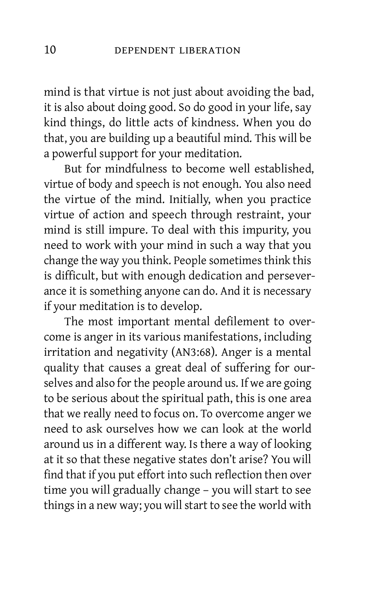mind is that virtue is not just about avoiding the bad, it is also about doing good. So do good in your life, say kind things, do little acts of kindness. When you do that, you are building up a beautiful mind. This will be a powerful support for your meditation.

But for mindfulness to become well established, virtue of body and speech is not enough. You also need the virtue of the mind. Initially, when you practice virtue of action and speech through restraint, your mind is still impure. To deal with this impurity, you need to work with your mind in such a way that you change the way you think. People sometimes think this is difficult, but with enough dedication and perseverance it is something anyone can do. And it is necessary if your meditation is to develop.

The most important mental defilement to overcome is anger in its various manifestations, including irritation and negativity (AN3:68). Anger is a mental quality that causes a great deal of suffering for ourselves and also for the people around us. If we are going to be serious about the spiritual path, this is one area that we really need to focus on. To overcome anger we need to ask ourselves how we can look at the world around us in a different way. Is there a way of looking at it so that these negative states don't arise? You will find that if you put effort into such reflection then over time you will gradually change – you will start to see things in a new way; you will start to see the world with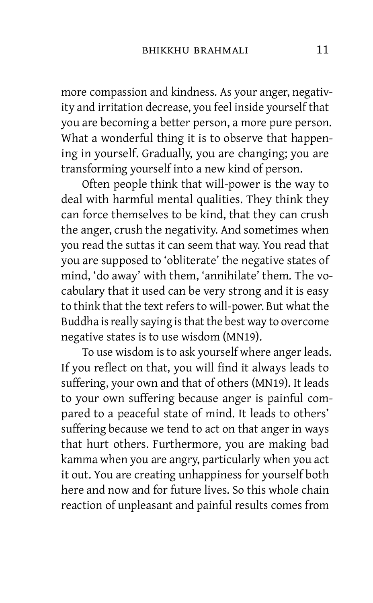more compassion and kindness. As your anger, negativity and irritation decrease, you feel inside yourself that you are becoming a better person, a more pure person. What a wonderful thing it is to observe that happening in yourself. Gradually, you are changing; you are transforming yourself into a new kind of person.

Often people think that will-power is the way to deal with harmful mental qualities. They think they can force themselves to be kind, that they can crush the anger, crush the negativity. And sometimes when you read the suttas it can seem that way. You read that you are supposed to 'obliterate' the negative states of mind, 'do away' with them, 'annihilate' them. The vocabulary that it used can be very strong and it is easy to think that the text refers to will-power. But what the Buddha is really saying is that the best way to overcome negative states is to use wisdom (MN19).

To use wisdom is to ask yourself where anger leads. If you reflect on that, you will find it always leads to suffering, your own and that of others (MN19). It leads to your own suffering because anger is painful compared to a peaceful state of mind. It leads to others' suffering because we tend to act on that anger in ways that hurt others. Furthermore, you are making bad kamma when you are angry, particularly when you act it out. You are creating unhappiness for yourself both here and now and for future lives. So this whole chain reaction of unpleasant and painful results comes from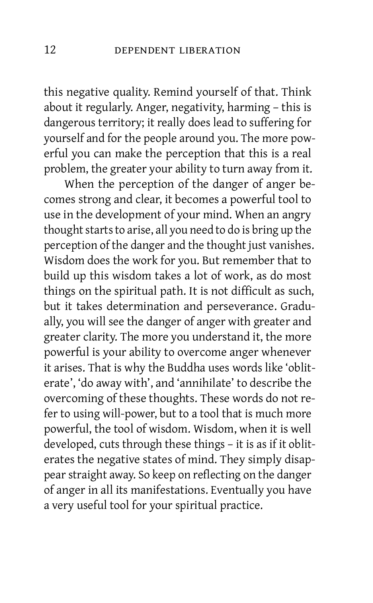this negative quality. Remind yourself of that. Think about it regularly. Anger, negativity, harming – this is dangerous territory; it really does lead to suffering for yourself and for the people around you. The more powerful you can make the perception that this is a real problem, the greater your ability to turn away from it.

When the perception of the danger of anger becomes strong and clear, it becomes a powerful tool to use in the development of your mind. When an angry thought starts to arise, all you need to do is bring up the perception of the danger and the thought just vanishes. Wisdom does the work for you. But remember that to build up this wisdom takes a lot of work, as do most things on the spiritual path. It is not difficult as such, but it takes determination and perseverance. Gradually, you will see the danger of anger with greater and greater clarity. The more you understand it, the more powerful is your ability to overcome anger whenever it arises. That is why the Buddha uses words like 'obliterate', 'do away with', and 'annihilate' to describe the overcoming of these thoughts. These words do not refer to using will-power, but to a tool that is much more powerful, the tool of wisdom. Wisdom, when it is well developed, cuts through these things – it is as if it obliterates the negative states of mind. They simply disappear straight away. So keep on reflecting on the danger of anger in all its manifestations. Eventually you have a very useful tool for your spiritual practice.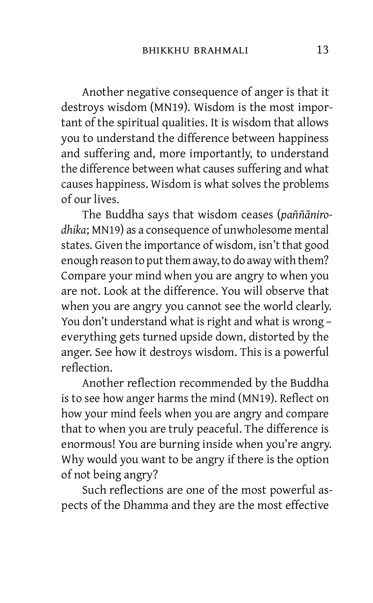Another negative consequence of anger is that it destroys wisdom (MN19). Wisdom is the most important of the spiritual qualities. It is wisdom that allows you to understand the difference between happiness and suffering and, more importantly, to understand the difference between what causes suffering and what causes happiness. Wisdom is what solves the problems of our lives.

The Buddha says that wisdom ceases (*paññānirodhika*; MN19) as a consequence of unwholesome mental states. Given the importance of wisdom, isn't that good enough reason to put them away, to do away with them? Compare your mind when you are angry to when you are not. Look at the difference. You will observe that when you are angry you cannot see the world clearly. You don't understand what is right and what is wrong – everything gets turned upside down, distorted by the anger. See how it destroys wisdom. This is a powerful reflection.

Another reflection recommended by the Buddha is to see how anger harms the mind (MN19). Reflect on how your mind feels when you are angry and compare that to when you are truly peaceful. The difference is enormous! You are burning inside when you're angry. Why would you want to be angry if there is the option of not being angry?

Such reflections are one of the most powerful aspects of the Dhamma and they are the most effective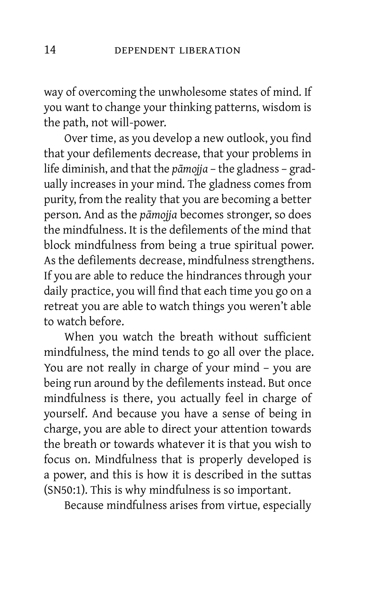way of overcoming the unwholesome states of mind. If you want to change your thinking patterns, wisdom is the path, not will-power.

Over time, as you develop a new outlook, you find that your defilements decrease, that your problems in life diminish, and that the *pāmojja* – the gladness – gradually increases in your mind. The gladness comes from purity, from the reality that you are becoming a better person. And as the *pāmojja* becomes stronger, so does the mindfulness. It is the defilements of the mind that block mindfulness from being a true spiritual power. As the defilements decrease, mindfulness strengthens. If you are able to reduce the hindrances through your daily practice, you will find that each time you go on a retreat you are able to watch things you weren't able to watch before.

When you watch the breath without sufficient mindfulness, the mind tends to go all over the place. You are not really in charge of your mind – you are being run around by the defilements instead. But once mindfulness is there, you actually feel in charge of yourself. And because you have a sense of being in charge, you are able to direct your attention towards the breath or towards whatever it is that you wish to focus on. Mindfulness that is properly developed is a power, and this is how it is described in the suttas (SN50:1). This is why mindfulness is so important.

Because mindfulness arises from virtue, especially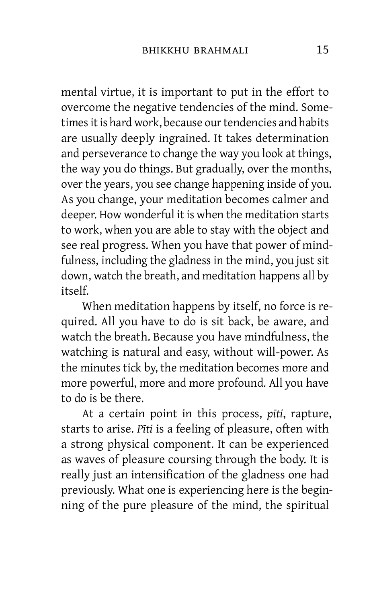mental virtue, it is important to put in the effort to overcome the negative tendencies of the mind. Sometimes it is hard work, because our tendencies and habits are usually deeply ingrained. It takes determination and perseverance to change the way you look at things, the way you do things. But gradually, over the months, over the years, you see change happening inside of you. As you change, your meditation becomes calmer and deeper. How wonderful it is when the meditation starts to work, when you are able to stay with the object and see real progress. When you have that power of mindfulness, including the gladness in the mind, you just sit down, watch the breath, and meditation happens all by itself.

When meditation happens by itself, no force is required. All you have to do is sit back, be aware, and watch the breath. Because you have mindfulness, the watching is natural and easy, without will-power. As the minutes tick by, the meditation becomes more and more powerful, more and more profound. All you have to do is be there.

At a certain point in this process, *pīti*, rapture, starts to arise. *Pīti* is a feeling of pleasure, often with a strong physical component. It can be experienced as waves of pleasure coursing through the body. It is really just an intensification of the gladness one had previously. What one is experiencing here is the beginning of the pure pleasure of the mind, the spiritual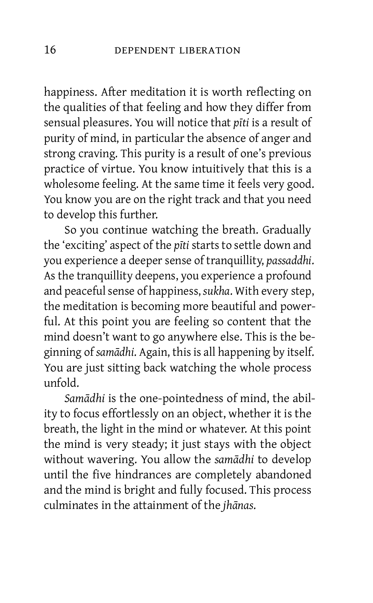happiness. After meditation it is worth reflecting on the qualities of that feeling and how they differ from sensual pleasures. You will notice that *pīti* is a result of purity of mind, in particular the absence of anger and strong craving. This purity is a result of one's previous practice of virtue. You know intuitively that this is a wholesome feeling. At the same time it feels very good. You know you are on the right track and that you need to develop this further.

So you continue watching the breath. Gradually the 'exciting' aspect of the *pīti* starts to settle down and you experience a deeper sense of tranquillity, *passaddhi*. As the tranquillity deepens, you experience a profound and peaceful sense of happiness, *sukha*. With every step, the meditation is becoming more beautiful and powerful. At this point you are feeling so content that the mind doesn't want to go anywhere else. This is the beginning of *samādhi*. Again, this is all happening by itself. You are just sitting back watching the whole process unfold.

*Samādhi* is the one-pointedness of mind, the ability to focus effortlessly on an object, whether it is the breath, the light in the mind or whatever. At this point the mind is very steady; it just stays with the object without wavering. You allow the *samādhi* to develop until the five hindrances are completely abandoned and the mind is bright and fully focused. This process culminates in the attainment of the *jhānas*.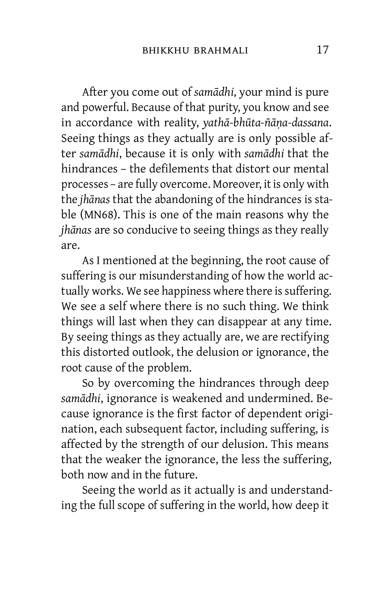After you come out of *samādhi*, your mind is pure and powerful. Because of that purity, you know and see in accordance with reality, *yathā-bhūta-ñāṇa-dassana*. Seeing things as they actually are is only possible after *samādhi*, because it is only with *samādhi* that the hindrances – the defilements that distort our mental processes – are fully overcome. Moreover, it is only with the *jhānas* that the abandoning of the hindrances is stable (MN68). This is one of the main reasons why the *jhānas* are so conducive to seeing things as they really are.

As I mentioned at the beginning, the root cause of suffering is our misunderstanding of how the world actually works. We see happiness where there is suffering. We see a self where there is no such thing. We think things will last when they can disappear at any time. By seeing things as they actually are, we are rectifying this distorted outlook, the delusion or ignorance, the root cause of the problem.

So by overcoming the hindrances through deep *samādhi*, ignorance is weakened and undermined. Because ignorance is the first factor of dependent origination, each subsequent factor, including suffering, is affected by the strength of our delusion. This means that the weaker the ignorance, the less the suffering, both now and in the future.

Seeing the world as it actually is and understanding the full scope of suffering in the world, how deep it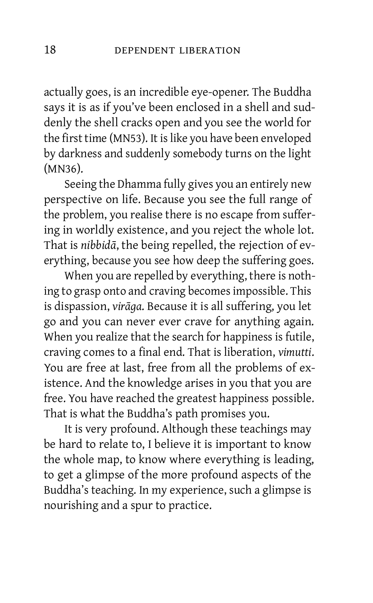actually goes, is an incredible eye-opener. The Buddha says it is as if you've been enclosed in a shell and suddenly the shell cracks open and you see the world for the first time (MN53). It is like you have been enveloped by darkness and suddenly somebody turns on the light (MN36).

Seeing the Dhamma fully gives you an entirely new perspective on life. Because you see the full range of the problem, you realise there is no escape from suffering in worldly existence, and you reject the whole lot. That is *nibbidā*, the being repelled, the rejection of everything, because you see how deep the suffering goes.

When you are repelled by everything, there is nothing to grasp onto and craving becomes impossible. This is dispassion, *virāga*. Because it is all suffering, you let go and you can never ever crave for anything again. When you realize that the search for happiness is futile, craving comes to a final end. That is liberation, *vimutti*. You are free at last, free from all the problems of existence. And the knowledge arises in you that you are free. You have reached the greatest happiness possible. That is what the Buddha's path promises you.

It is very profound. Although these teachings may be hard to relate to, I believe it is important to know the whole map, to know where everything is leading, to get a glimpse of the more profound aspects of the Buddha's teaching. In my experience, such a glimpse is nourishing and a spur to practice.